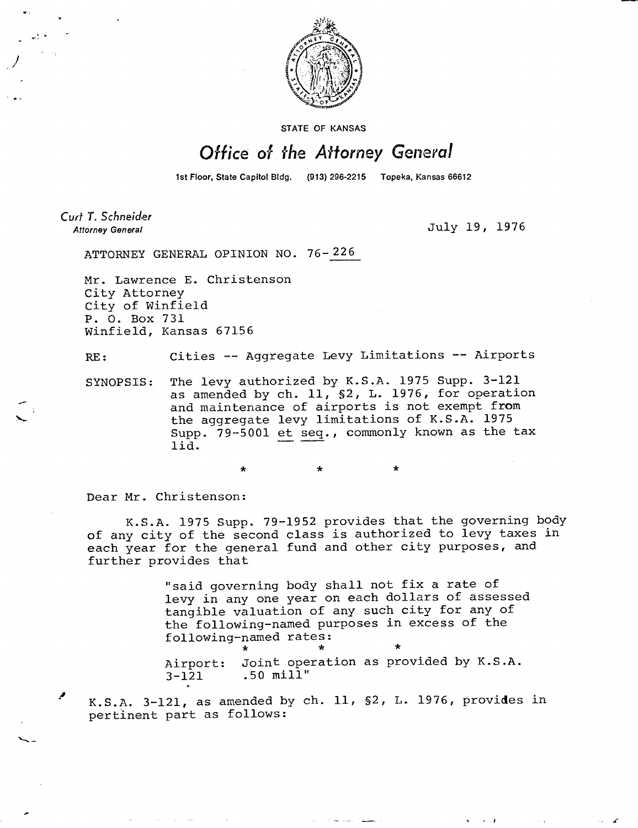

STATE OF KANSAS

## Office of the Attorney General

1st Floor, State Capitol Bldg. (913) 296-2215 Topeka, Kansas 66612

*Cud T. Schneider* 

**Attorney General** July 19, 1976

ATTORNEY GENERAL OPINION NO. 76-226

\*

Mr. Lawrence E. Christenson City Attorney City of Winfield P. 0. Box 731 Winfield, Kansas 67156

RE: Cities -- Aggregate Levy Limitations -- Airports

SYNOPSIS: The levy authorized by K.S.A. 1975 Supp. 3-121 as amended by ch. 11, §2, L. 1976, for operation and maintenance of airports is not exempt from the aggregate levy limitations of K.S.A. 1975 Supp. 79-5001 et seq., commonly known as the tax lid.

Dear Mr. Christenson:

K.S.A. 1975 Supp. 79-1952 provides that the governing body of any city of the second class is authorized to levy taxes in each year for the general fund and other city purposes, and further provides that

> "said governing body shall not fix a rate of levy in any one year on each dollars of assessed tangible valuation of any such city for any of the following-named purposes in excess of the following-named rates: Airport: Joint operation as provided by K.S.A. 3-121 .50 mill"

K.S.A. 3-121, as amended by ch. 11, §2, L. 1976, provides in pertinent part as follows: